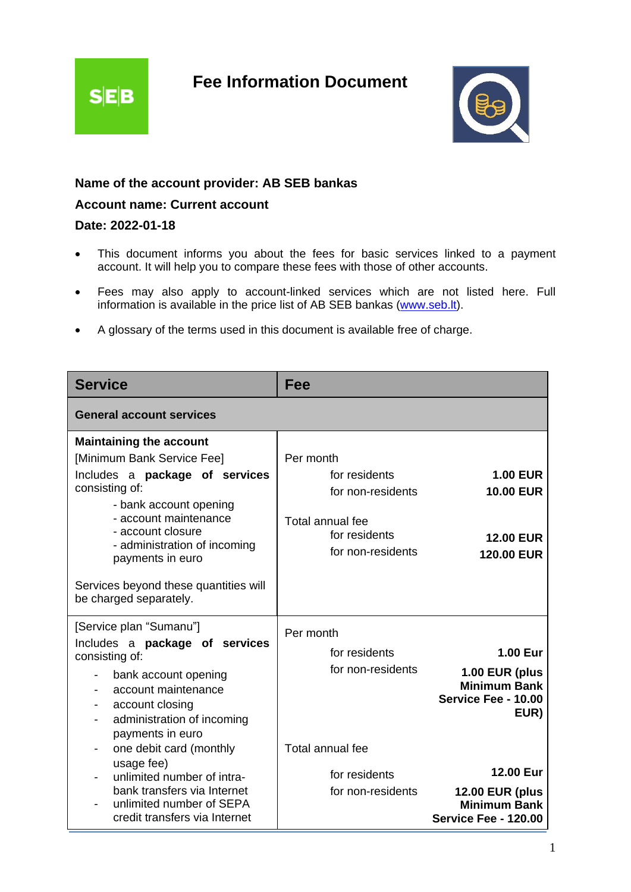$S|E|B$ 

## **Fee Information Document**



## **Name of the account provider: AB SEB bankas**

## **Account name: Current account**

## **Date: 2022-01-18**

- This document informs you about the fees for basic services linked to a payment account. It will help you to compare these fees with those of other accounts.
- Fees may also apply to account-linked services which are not listed here. Full information is available in the price list of AB SEB bankas [\(www.seb.lt\)](http://www.seb.lt/).
- A glossary of the terms used in this document is available free of charge.

| <b>Service</b>                                                                                                                                                                                                                                                                                                  | Fee                                                                                                       |                                                                                    |
|-----------------------------------------------------------------------------------------------------------------------------------------------------------------------------------------------------------------------------------------------------------------------------------------------------------------|-----------------------------------------------------------------------------------------------------------|------------------------------------------------------------------------------------|
| <b>General account services</b>                                                                                                                                                                                                                                                                                 |                                                                                                           |                                                                                    |
| <b>Maintaining the account</b><br>[Minimum Bank Service Fee]<br>Includes a package of services<br>consisting of:<br>- bank account opening<br>- account maintenance<br>- account closure<br>- administration of incoming<br>payments in euro<br>Services beyond these quantities will<br>be charged separately. | Per month<br>for residents<br>for non-residents<br>Total annual fee<br>for residents<br>for non-residents | <b>1.00 EUR</b><br><b>10.00 EUR</b><br><b>12.00 EUR</b><br><b>120.00 EUR</b>       |
| [Service plan "Sumanu"]<br>Includes a package of services<br>consisting of:<br>bank account opening<br>account maintenance<br>account closing<br>administration of incoming<br>payments in euro<br>one debit card (monthly                                                                                      | Per month<br>for residents<br>for non-residents<br>Total annual fee                                       | 1.00 Eur<br>1.00 EUR (plus<br><b>Minimum Bank</b><br>Service Fee - 10.00<br>EUR)   |
| usage fee)<br>unlimited number of intra-<br>bank transfers via Internet<br>unlimited number of SEPA<br>credit transfers via Internet                                                                                                                                                                            | for residents<br>for non-residents                                                                        | 12.00 Eur<br><b>12.00 EUR (plus</b><br><b>Minimum Bank</b><br>Service Fee - 120.00 |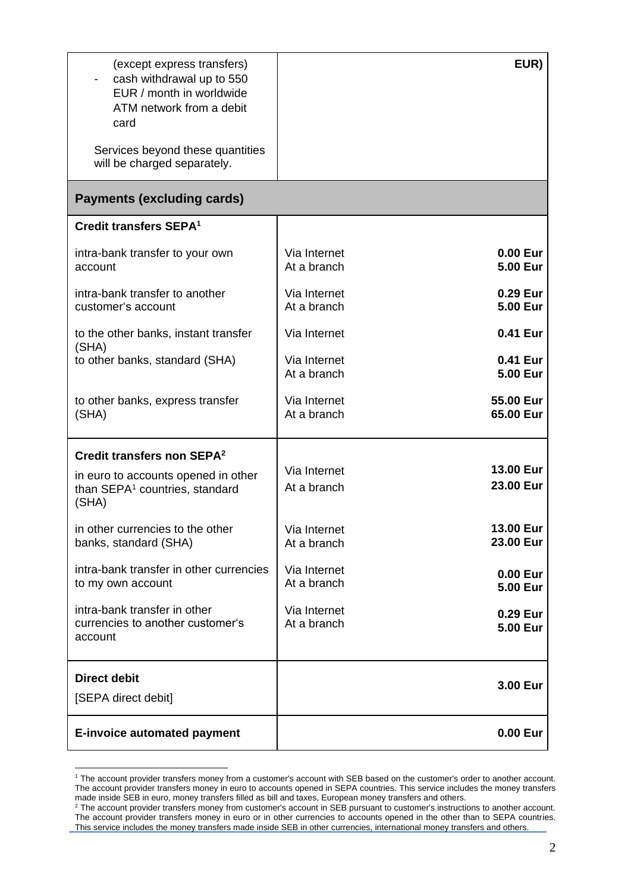| (except express transfers)<br>cash withdrawal up to 550<br>EUR / month in worldwide<br>ATM network from a debit<br>card<br>Services beyond these quantities<br>will be charged separately. |                             | EUR)                   |  |
|--------------------------------------------------------------------------------------------------------------------------------------------------------------------------------------------|-----------------------------|------------------------|--|
| <b>Payments (excluding cards)</b>                                                                                                                                                          |                             |                        |  |
| Credit transfers SEPA <sup>1</sup>                                                                                                                                                         |                             |                        |  |
| intra-bank transfer to your own<br>account                                                                                                                                                 | Via Internet<br>At a branch | 0.00 Eur<br>5.00 Eur   |  |
| intra-bank transfer to another<br>customer's account                                                                                                                                       | Via Internet<br>At a branch | 0.29 Eur<br>5.00 Eur   |  |
| to the other banks, instant transfer<br>(SHA)                                                                                                                                              | Via Internet                | 0.41 Eur               |  |
| to other banks, standard (SHA)                                                                                                                                                             | Via Internet<br>At a branch | 0.41 Eur<br>5.00 Eur   |  |
| to other banks, express transfer<br>(SHA)                                                                                                                                                  | Via Internet<br>At a branch | 55.00 Eur<br>65.00 Eur |  |
| Credit transfers non SEPA <sup>2</sup>                                                                                                                                                     |                             |                        |  |
| in euro to accounts opened in other<br>than SEPA <sup>1</sup> countries, standard<br>(SHA)                                                                                                 | Via Internet<br>At a branch | 13.00 Eur<br>23.00 Eur |  |
| in other currencies to the other<br>banks, standard (SHA)                                                                                                                                  | Via Internet<br>At a branch | 13.00 Eur<br>23.00 Eur |  |
| intra-bank transfer in other currencies<br>to my own account                                                                                                                               | Via Internet<br>At a branch | 0.00 Eur<br>5.00 Eur   |  |
| intra-bank transfer in other<br>currencies to another customer's<br>account                                                                                                                | Via Internet<br>At a branch | 0.29 Eur<br>5.00 Eur   |  |
| <b>Direct debit</b><br>[SEPA direct debit]                                                                                                                                                 |                             | 3.00 Eur               |  |
| <b>E-invoice automated payment</b>                                                                                                                                                         |                             | 0.00 Eur               |  |

<sup>1</sup> The account provider transfers money from a customer's account with SEB based on the customer's order to another account. The account provider transfers money in euro to accounts opened in SEPA countries. This service includes the money transfers made inside SEB in euro, money transfers filled as bill and taxes, European money transfers and others.

<sup>&</sup>lt;sup>2</sup> The account provider transfers money from customer's account in SEB pursuant to customer's instructions to another account. The account provider transfers money in euro or in other currencies to accounts opened in the other than to SEPA countries. This service includes the money transfers made inside SEB in other currencies, international money transfers and others.